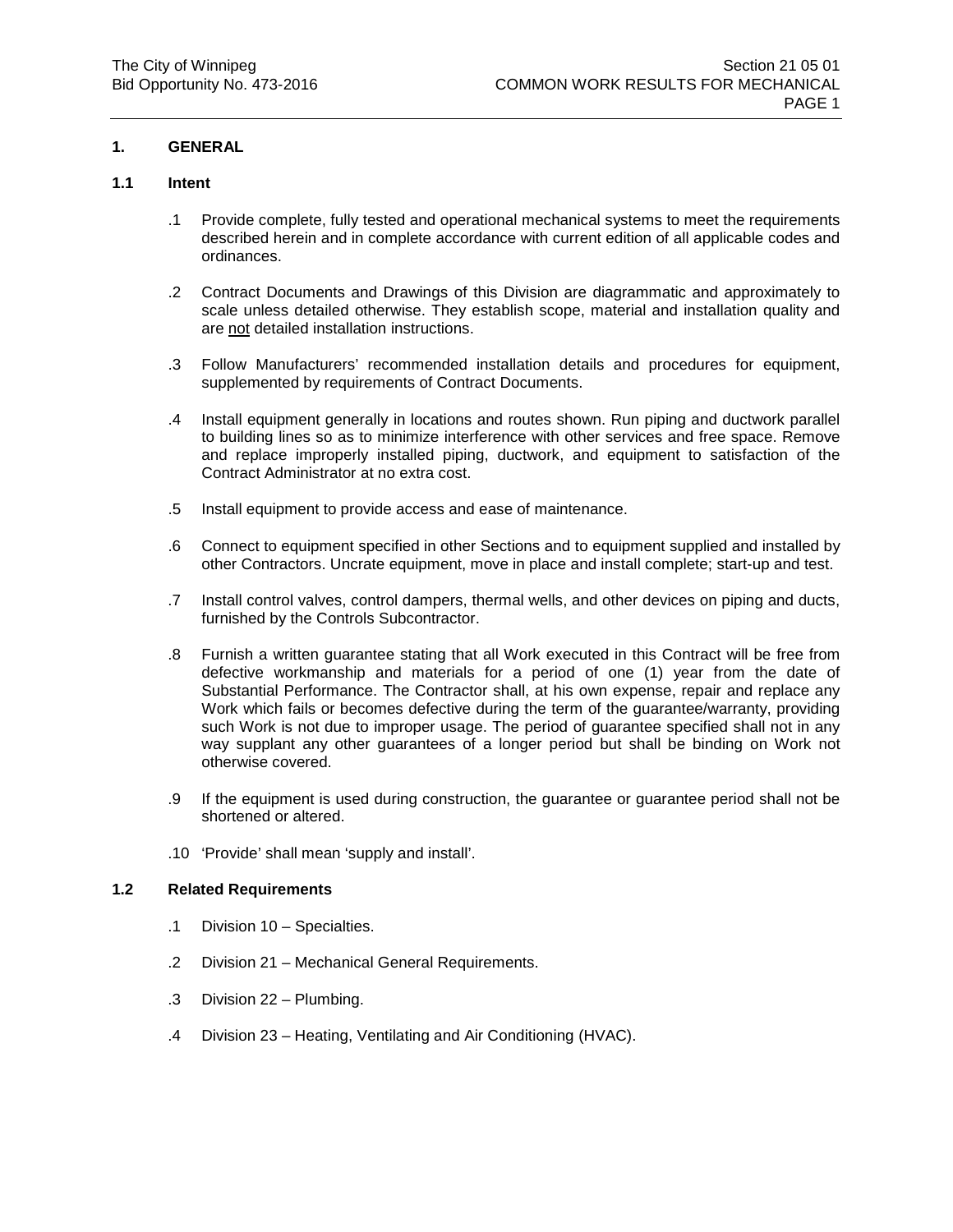# **1. GENERAL**

# **1.1 Intent**

- .1 Provide complete, fully tested and operational mechanical systems to meet the requirements described herein and in complete accordance with current edition of all applicable codes and ordinances.
- .2 Contract Documents and Drawings of this Division are diagrammatic and approximately to scale unless detailed otherwise. They establish scope, material and installation quality and are not detailed installation instructions.
- .3 Follow Manufacturers' recommended installation details and procedures for equipment, supplemented by requirements of Contract Documents.
- .4 Install equipment generally in locations and routes shown. Run piping and ductwork parallel to building lines so as to minimize interference with other services and free space. Remove and replace improperly installed piping, ductwork, and equipment to satisfaction of the Contract Administrator at no extra cost.
- .5 Install equipment to provide access and ease of maintenance.
- .6 Connect to equipment specified in other Sections and to equipment supplied and installed by other Contractors. Uncrate equipment, move in place and install complete; start-up and test.
- .7 Install control valves, control dampers, thermal wells, and other devices on piping and ducts, furnished by the Controls Subcontractor.
- .8 Furnish a written guarantee stating that all Work executed in this Contract will be free from defective workmanship and materials for a period of one (1) year from the date of Substantial Performance. The Contractor shall, at his own expense, repair and replace any Work which fails or becomes defective during the term of the guarantee/warranty, providing such Work is not due to improper usage. The period of guarantee specified shall not in any way supplant any other guarantees of a longer period but shall be binding on Work not otherwise covered.
- .9 If the equipment is used during construction, the guarantee or guarantee period shall not be shortened or altered.
- .10 'Provide' shall mean 'supply and install'.

## **1.2 Related Requirements**

- .1 Division 10 Specialties.
- .2 Division 21 Mechanical General Requirements.
- .3 Division 22 Plumbing.
- .4 Division 23 Heating, Ventilating and Air Conditioning (HVAC).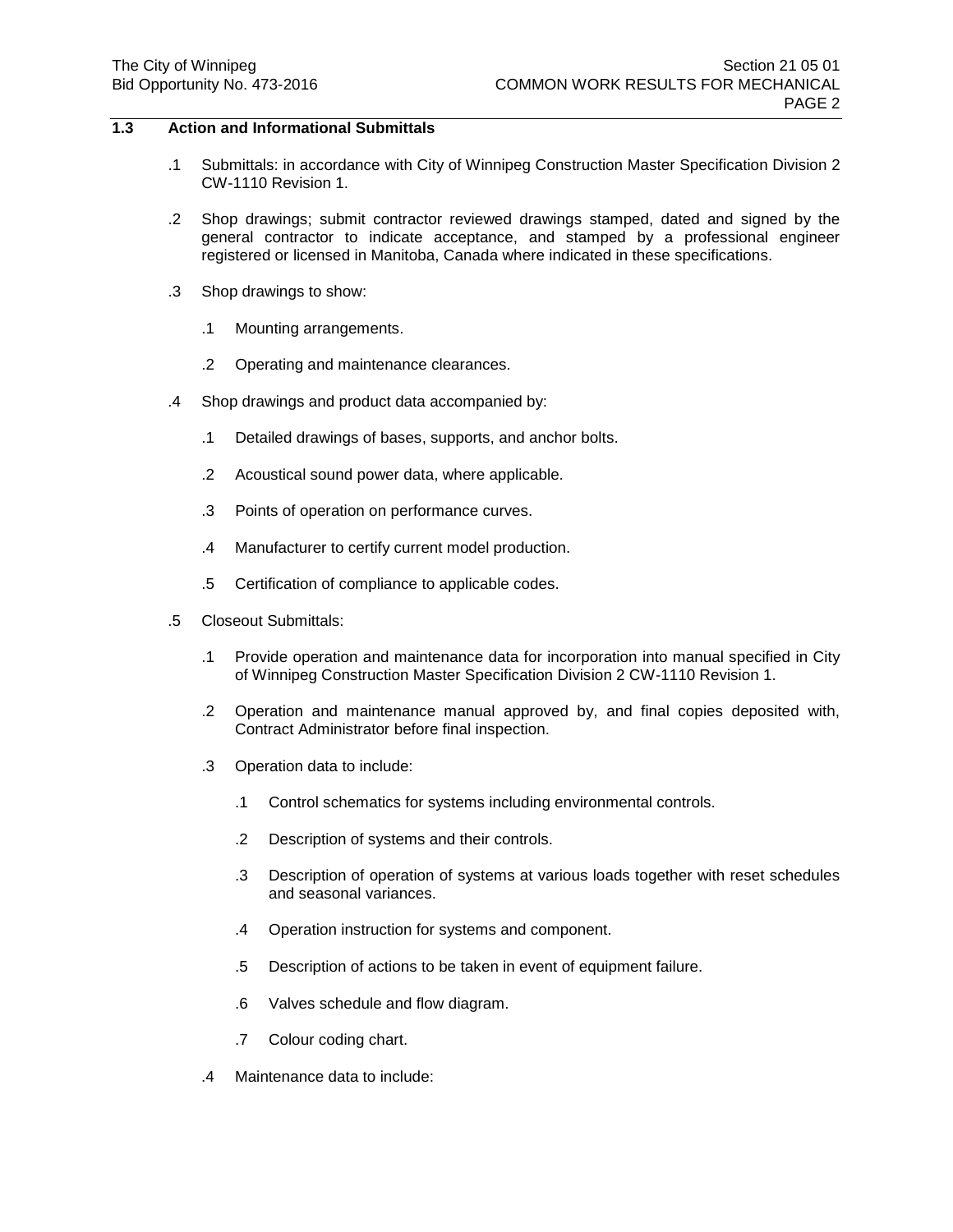# **1.3 Action and Informational Submittals**

- .1 Submittals: in accordance with City of Winnipeg Construction Master Specification Division 2 CW-1110 Revision 1.
- .2 Shop drawings; submit contractor reviewed drawings stamped, dated and signed by the general contractor to indicate acceptance, and stamped by a professional engineer registered or licensed in Manitoba, Canada where indicated in these specifications.
- .3 Shop drawings to show:
	- .1 Mounting arrangements.
	- .2 Operating and maintenance clearances.
- .4 Shop drawings and product data accompanied by:
	- .1 Detailed drawings of bases, supports, and anchor bolts.
	- .2 Acoustical sound power data, where applicable.
	- .3 Points of operation on performance curves.
	- .4 Manufacturer to certify current model production.
	- .5 Certification of compliance to applicable codes.
- .5 Closeout Submittals:
	- .1 Provide operation and maintenance data for incorporation into manual specified in City of Winnipeg Construction Master Specification Division 2 CW-1110 Revision 1.
	- .2 Operation and maintenance manual approved by, and final copies deposited with, Contract Administrator before final inspection.
	- .3 Operation data to include:
		- .1 Control schematics for systems including environmental controls.
		- .2 Description of systems and their controls.
		- .3 Description of operation of systems at various loads together with reset schedules and seasonal variances.
		- .4 Operation instruction for systems and component.
		- .5 Description of actions to be taken in event of equipment failure.
		- .6 Valves schedule and flow diagram.
		- .7 Colour coding chart.
	- .4 Maintenance data to include: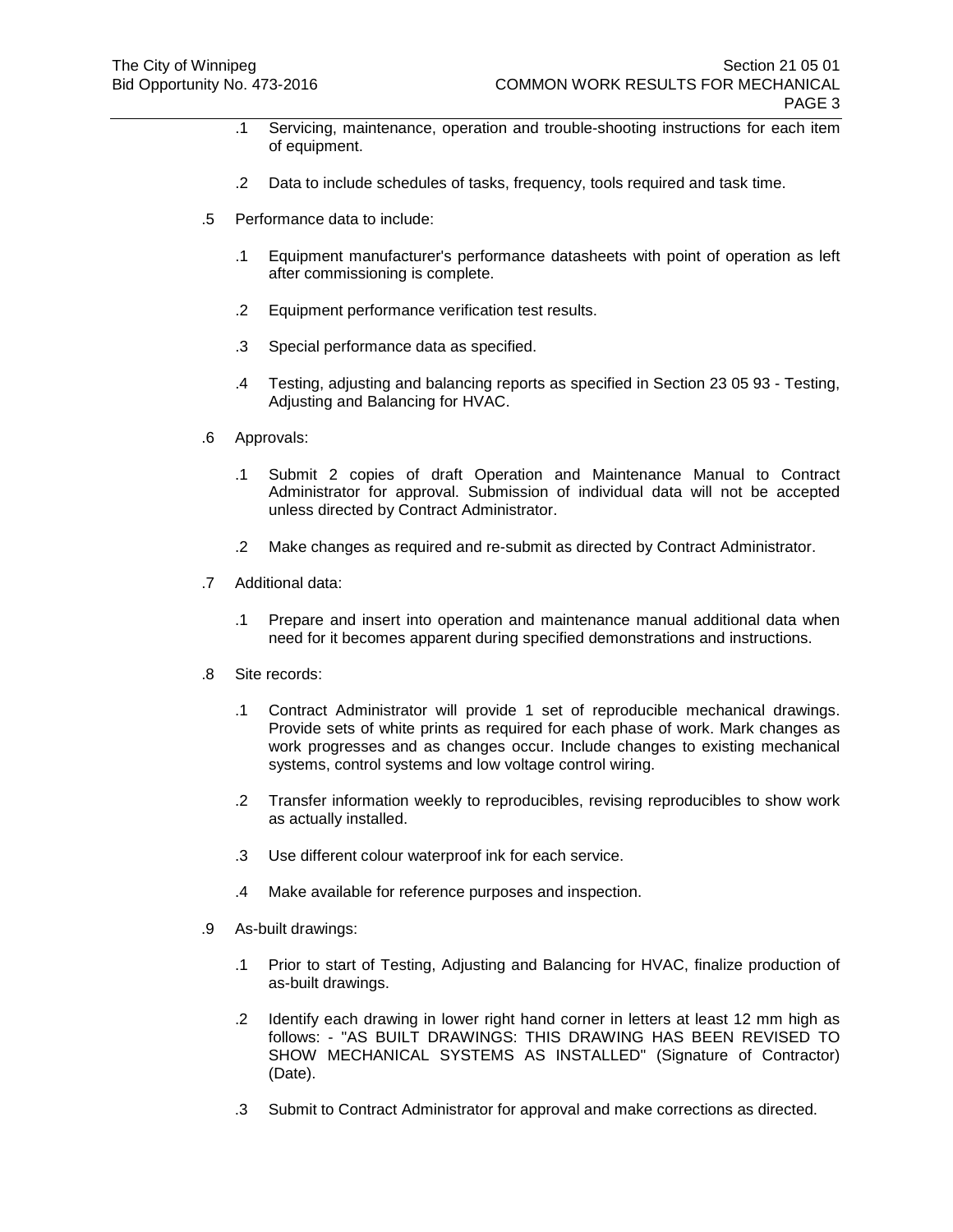- .1 Servicing, maintenance, operation and trouble-shooting instructions for each item of equipment.
- .2 Data to include schedules of tasks, frequency, tools required and task time.
- .5 Performance data to include:
	- .1 Equipment manufacturer's performance datasheets with point of operation as left after commissioning is complete.
	- .2 Equipment performance verification test results.
	- .3 Special performance data as specified.
	- .4 Testing, adjusting and balancing reports as specified in Section 23 05 93 Testing, Adjusting and Balancing for HVAC.
- .6 Approvals:
	- .1 Submit 2 copies of draft Operation and Maintenance Manual to Contract Administrator for approval. Submission of individual data will not be accepted unless directed by Contract Administrator.
	- .2 Make changes as required and re-submit as directed by Contract Administrator.
- .7 Additional data:
	- .1 Prepare and insert into operation and maintenance manual additional data when need for it becomes apparent during specified demonstrations and instructions.
- .8 Site records:
	- .1 Contract Administrator will provide 1 set of reproducible mechanical drawings. Provide sets of white prints as required for each phase of work. Mark changes as work progresses and as changes occur. Include changes to existing mechanical systems, control systems and low voltage control wiring.
	- .2 Transfer information weekly to reproducibles, revising reproducibles to show work as actually installed.
	- .3 Use different colour waterproof ink for each service.
	- .4 Make available for reference purposes and inspection.
- .9 As-built drawings:
	- .1 Prior to start of Testing, Adjusting and Balancing for HVAC, finalize production of as-built drawings.
	- .2 Identify each drawing in lower right hand corner in letters at least 12 mm high as follows: - "AS BUILT DRAWINGS: THIS DRAWING HAS BEEN REVISED TO SHOW MECHANICAL SYSTEMS AS INSTALLED" (Signature of Contractor) (Date).
	- .3 Submit to Contract Administrator for approval and make corrections as directed.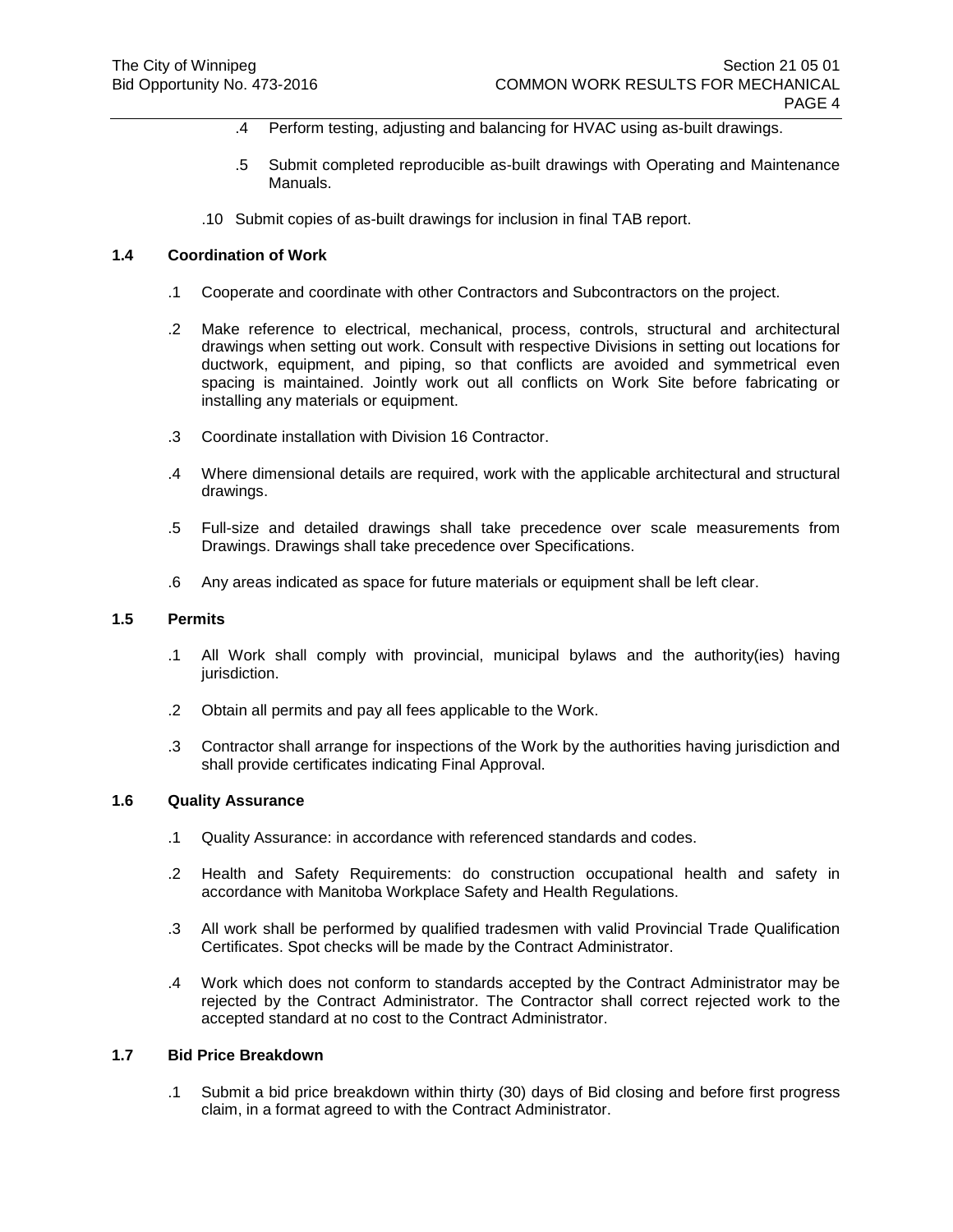- .4 Perform testing, adjusting and balancing for HVAC using as-built drawings.
- .5 Submit completed reproducible as-built drawings with Operating and Maintenance Manuals.
- .10 Submit copies of as-built drawings for inclusion in final TAB report.

## **1.4 Coordination of Work**

- .1 Cooperate and coordinate with other Contractors and Subcontractors on the project.
- .2 Make reference to electrical, mechanical, process, controls, structural and architectural drawings when setting out work. Consult with respective Divisions in setting out locations for ductwork, equipment, and piping, so that conflicts are avoided and symmetrical even spacing is maintained. Jointly work out all conflicts on Work Site before fabricating or installing any materials or equipment.
- .3 Coordinate installation with Division 16 Contractor.
- .4 Where dimensional details are required, work with the applicable architectural and structural drawings.
- .5 Full-size and detailed drawings shall take precedence over scale measurements from Drawings. Drawings shall take precedence over Specifications.
- .6 Any areas indicated as space for future materials or equipment shall be left clear.

## **1.5 Permits**

- .1 All Work shall comply with provincial, municipal bylaws and the authority(ies) having jurisdiction.
- .2 Obtain all permits and pay all fees applicable to the Work.
- .3 Contractor shall arrange for inspections of the Work by the authorities having jurisdiction and shall provide certificates indicating Final Approval.

### **1.6 Quality Assurance**

- .1 Quality Assurance: in accordance with referenced standards and codes.
- .2 Health and Safety Requirements: do construction occupational health and safety in accordance with Manitoba Workplace Safety and Health Regulations.
- .3 All work shall be performed by qualified tradesmen with valid Provincial Trade Qualification Certificates. Spot checks will be made by the Contract Administrator.
- .4 Work which does not conform to standards accepted by the Contract Administrator may be rejected by the Contract Administrator. The Contractor shall correct rejected work to the accepted standard at no cost to the Contract Administrator.

# **1.7 Bid Price Breakdown**

.1 Submit a bid price breakdown within thirty (30) days of Bid closing and before first progress claim, in a format agreed to with the Contract Administrator.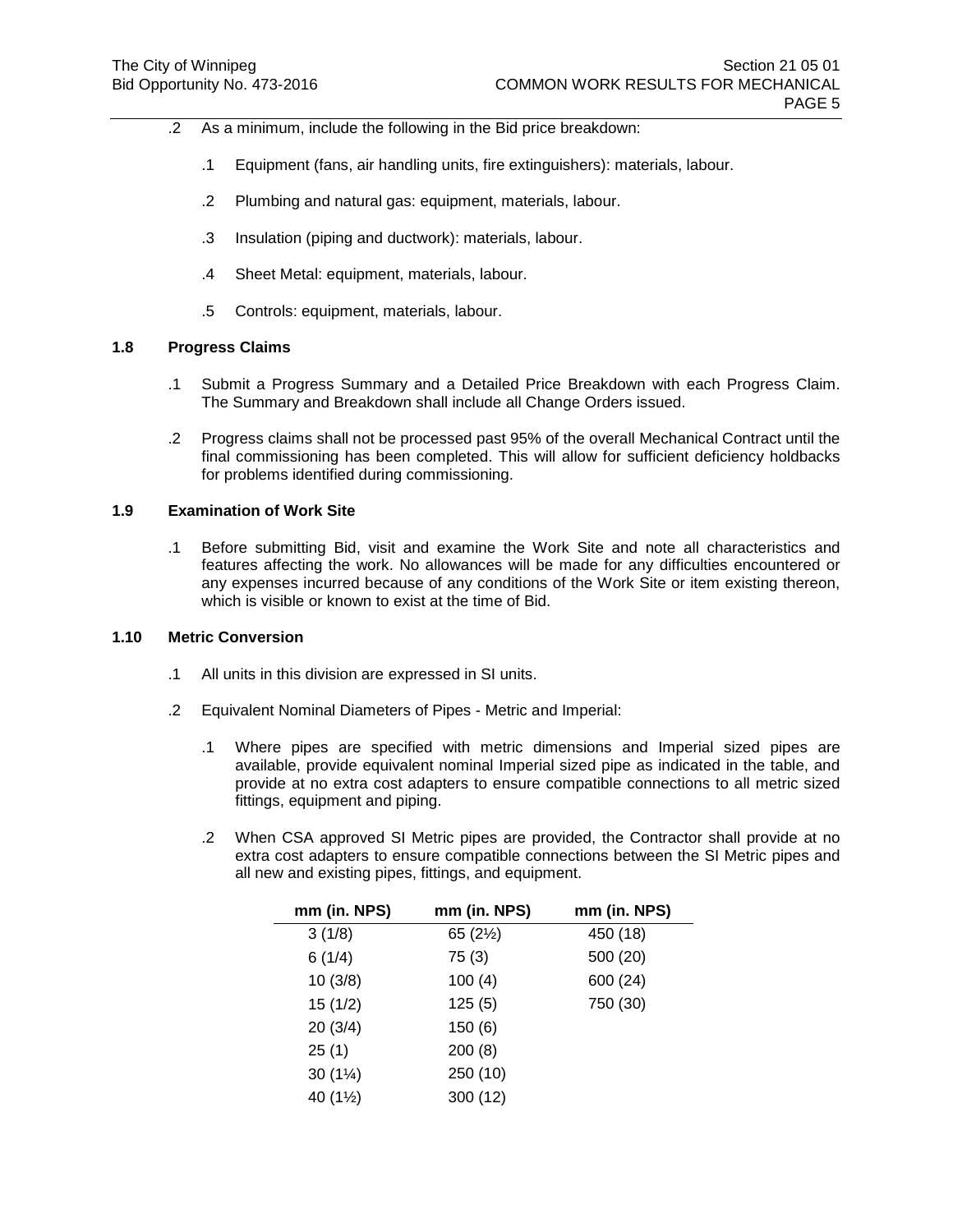- .2 As a minimum, include the following in the Bid price breakdown:
	- .1 Equipment (fans, air handling units, fire extinguishers): materials, labour.
	- .2 Plumbing and natural gas: equipment, materials, labour.
	- .3 Insulation (piping and ductwork): materials, labour.
	- .4 Sheet Metal: equipment, materials, labour.
	- .5 Controls: equipment, materials, labour.

# **1.8 Progress Claims**

- .1 Submit a Progress Summary and a Detailed Price Breakdown with each Progress Claim. The Summary and Breakdown shall include all Change Orders issued.
- .2 Progress claims shall not be processed past 95% of the overall Mechanical Contract until the final commissioning has been completed. This will allow for sufficient deficiency holdbacks for problems identified during commissioning.

### **1.9 Examination of Work Site**

.1 Before submitting Bid, visit and examine the Work Site and note all characteristics and features affecting the work. No allowances will be made for any difficulties encountered or any expenses incurred because of any conditions of the Work Site or item existing thereon, which is visible or known to exist at the time of Bid.

### **1.10 Metric Conversion**

- .1 All units in this division are expressed in SI units.
- .2 Equivalent Nominal Diameters of Pipes Metric and Imperial:
	- .1 Where pipes are specified with metric dimensions and Imperial sized pipes are available, provide equivalent nominal Imperial sized pipe as indicated in the table, and provide at no extra cost adapters to ensure compatible connections to all metric sized fittings, equipment and piping.
	- .2 When CSA approved SI Metric pipes are provided, the Contractor shall provide at no extra cost adapters to ensure compatible connections between the SI Metric pipes and all new and existing pipes, fittings, and equipment.

| mm (in. NPS) | mm (in. NPS)        | mm (in. NPS) |
|--------------|---------------------|--------------|
| 3(1/8)       | 65 $(2\frac{1}{2})$ | 450 (18)     |
| 6(1/4)       | 75(3)               | 500 (20)     |
| 10(3/8)      | 100(4)              | 600 (24)     |
| 15(1/2)      | 125(5)              | 750 (30)     |
| 20(3/4)      | 150(6)              |              |
| 25(1)        | 200(8)              |              |
| 30 $(1\%)$   | 250 (10)            |              |
| 40 (1½)      | 300 (12)            |              |
|              |                     |              |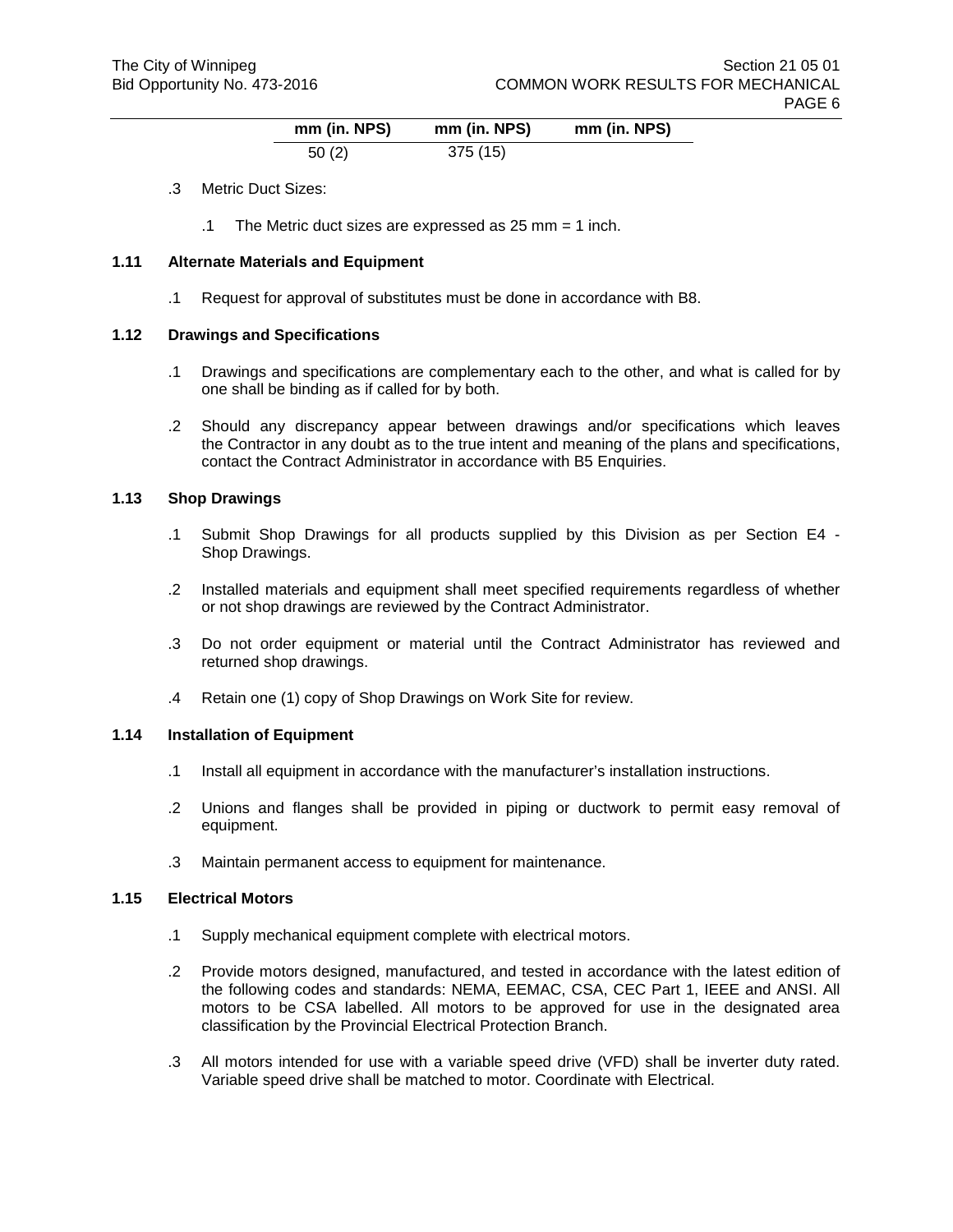| mm (in. NPS) | mm (in. NPS) | mm (in. NPS) |
|--------------|--------------|--------------|
| 50(2)        | 375(15)      |              |

- .3 Metric Duct Sizes:
	- .1 The Metric duct sizes are expressed as 25 mm = 1 inch.

### **1.11 Alternate Materials and Equipment**

.1 Request for approval of substitutes must be done in accordance with B8.

### **1.12 Drawings and Specifications**

- .1 Drawings and specifications are complementary each to the other, and what is called for by one shall be binding as if called for by both.
- .2 Should any discrepancy appear between drawings and/or specifications which leaves the Contractor in any doubt as to the true intent and meaning of the plans and specifications, contact the Contract Administrator in accordance with B5 Enquiries.

### **1.13 Shop Drawings**

- .1 Submit Shop Drawings for all products supplied by this Division as per Section E4 Shop Drawings.
- .2 Installed materials and equipment shall meet specified requirements regardless of whether or not shop drawings are reviewed by the Contract Administrator.
- .3 Do not order equipment or material until the Contract Administrator has reviewed and returned shop drawings.
- .4 Retain one (1) copy of Shop Drawings on Work Site for review.

#### **1.14 Installation of Equipment**

- .1 Install all equipment in accordance with the manufacturer's installation instructions.
- .2 Unions and flanges shall be provided in piping or ductwork to permit easy removal of equipment.
- .3 Maintain permanent access to equipment for maintenance.

#### **1.15 Electrical Motors**

- .1 Supply mechanical equipment complete with electrical motors.
- .2 Provide motors designed, manufactured, and tested in accordance with the latest edition of the following codes and standards: NEMA, EEMAC, CSA, CEC Part 1, IEEE and ANSI. All motors to be CSA labelled. All motors to be approved for use in the designated area classification by the Provincial Electrical Protection Branch.
- .3 All motors intended for use with a variable speed drive (VFD) shall be inverter duty rated. Variable speed drive shall be matched to motor. Coordinate with Electrical.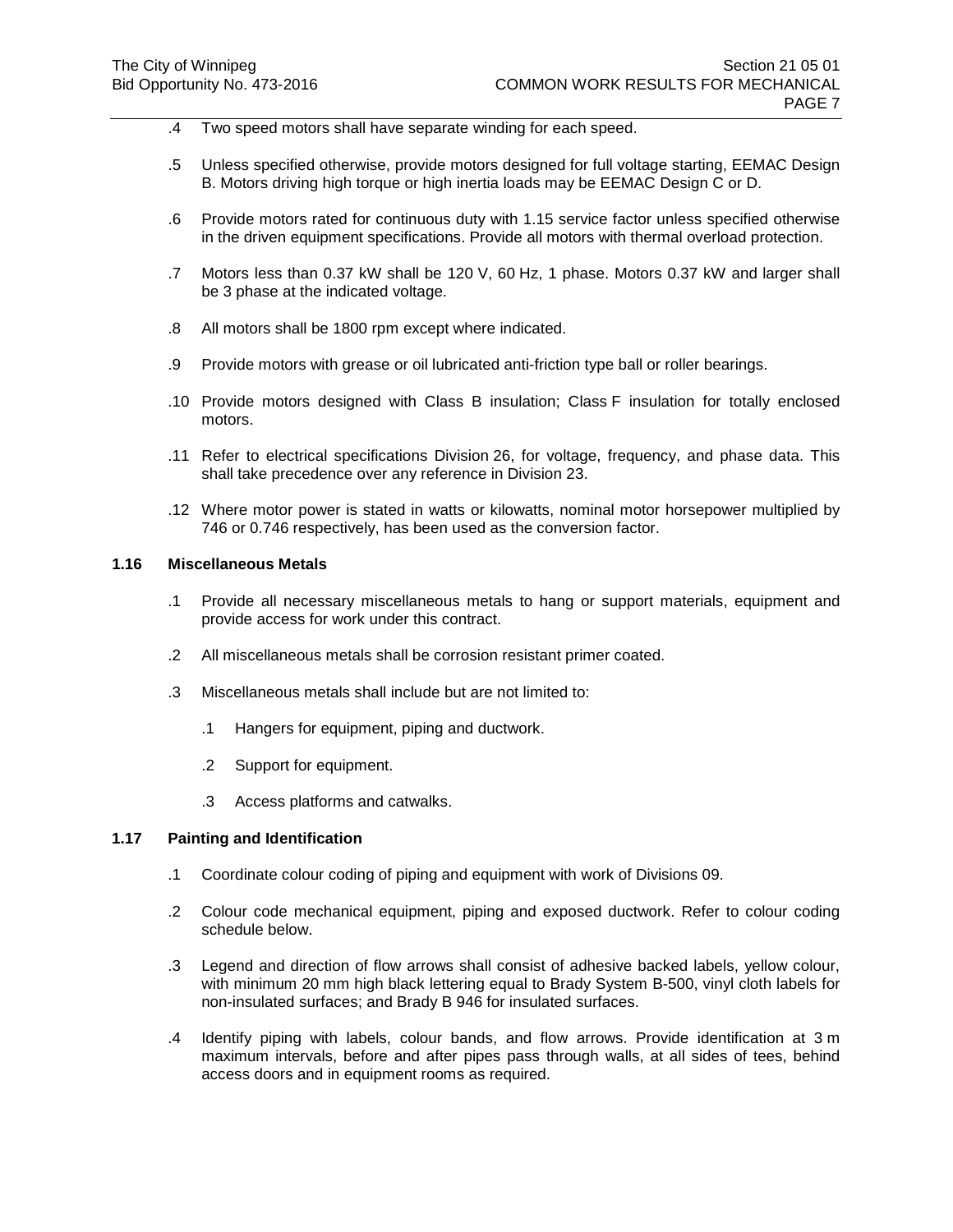- .4 Two speed motors shall have separate winding for each speed.
- .5 Unless specified otherwise, provide motors designed for full voltage starting, EEMAC Design B. Motors driving high torque or high inertia loads may be EEMAC Design C or D.
- .6 Provide motors rated for continuous duty with 1.15 service factor unless specified otherwise in the driven equipment specifications. Provide all motors with thermal overload protection.
- .7 Motors less than 0.37 kW shall be 120 V, 60 Hz, 1 phase. Motors 0.37 kW and larger shall be 3 phase at the indicated voltage.
- .8 All motors shall be 1800 rpm except where indicated.
- .9 Provide motors with grease or oil lubricated anti-friction type ball or roller bearings.
- .10 Provide motors designed with Class B insulation; Class F insulation for totally enclosed motors.
- .11 Refer to electrical specifications Division 26, for voltage, frequency, and phase data. This shall take precedence over any reference in Division 23.
- .12 Where motor power is stated in watts or kilowatts, nominal motor horsepower multiplied by 746 or 0.746 respectively, has been used as the conversion factor.

## **1.16 Miscellaneous Metals**

- .1 Provide all necessary miscellaneous metals to hang or support materials, equipment and provide access for work under this contract.
- .2 All miscellaneous metals shall be corrosion resistant primer coated.
- .3 Miscellaneous metals shall include but are not limited to:
	- .1 Hangers for equipment, piping and ductwork.
	- .2 Support for equipment.
	- .3 Access platforms and catwalks.

#### **1.17 Painting and Identification**

- .1 Coordinate colour coding of piping and equipment with work of Divisions 09.
- .2 Colour code mechanical equipment, piping and exposed ductwork. Refer to colour coding schedule below.
- .3 Legend and direction of flow arrows shall consist of adhesive backed labels, yellow colour, with minimum 20 mm high black lettering equal to Brady System B-500, vinyl cloth labels for non-insulated surfaces; and Brady B 946 for insulated surfaces.
- .4 Identify piping with labels, colour bands, and flow arrows. Provide identification at 3 m maximum intervals, before and after pipes pass through walls, at all sides of tees, behind access doors and in equipment rooms as required.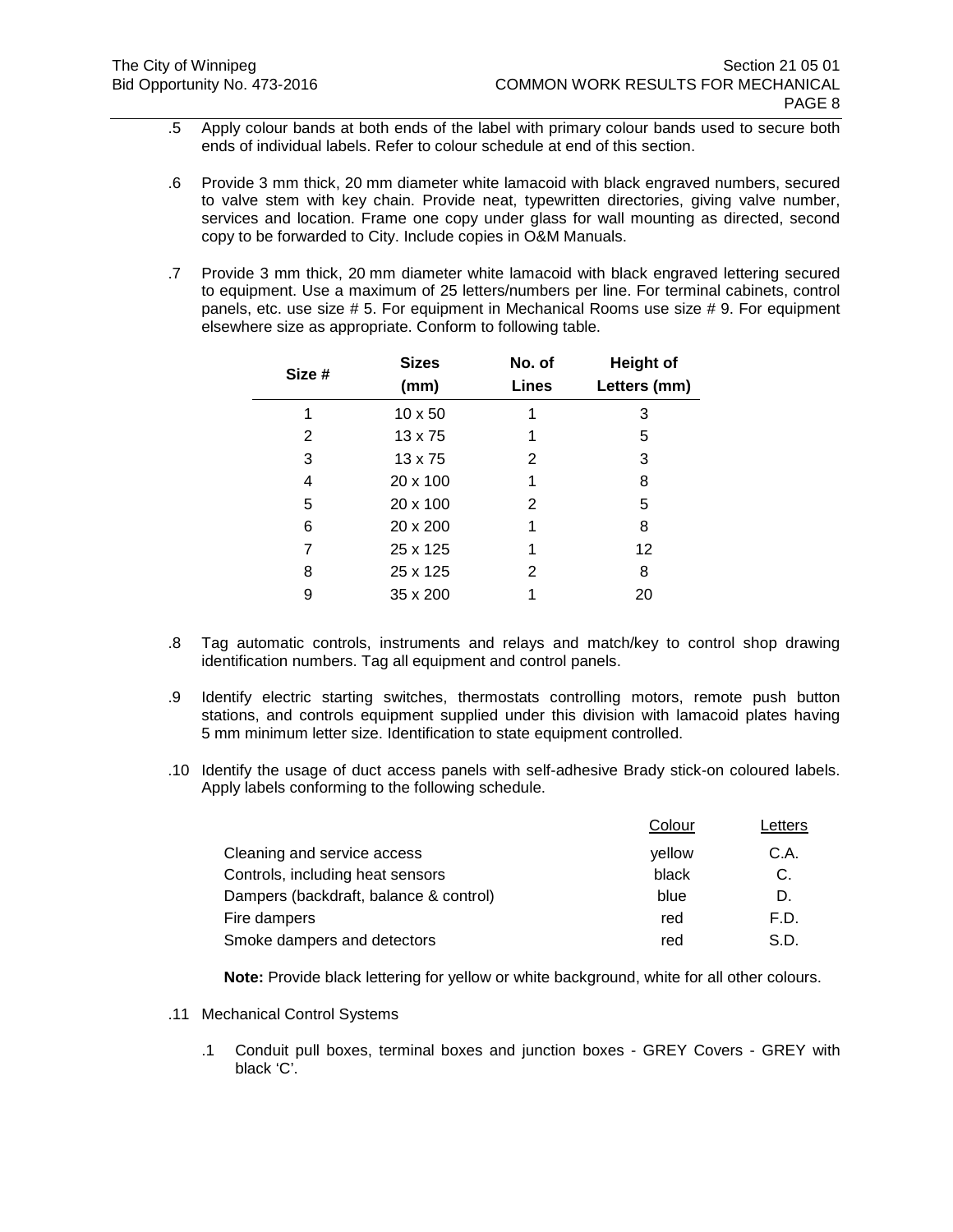- .5 Apply colour bands at both ends of the label with primary colour bands used to secure both ends of individual labels. Refer to colour schedule at end of this section.
- .6 Provide 3 mm thick, 20 mm diameter white lamacoid with black engraved numbers, secured to valve stem with key chain. Provide neat, typewritten directories, giving valve number, services and location. Frame one copy under glass for wall mounting as directed, second copy to be forwarded to City. Include copies in O&M Manuals.
- .7 Provide 3 mm thick, 20 mm diameter white lamacoid with black engraved lettering secured to equipment. Use a maximum of 25 letters/numbers per line. For terminal cabinets, control panels, etc. use size # 5. For equipment in Mechanical Rooms use size # 9. For equipment elsewhere size as appropriate. Conform to following table.

| Size # | <b>Sizes</b><br>(mm) | No. of<br>Lines | <b>Height of</b><br>Letters (mm) |
|--------|----------------------|-----------------|----------------------------------|
| 1      | $10 \times 50$       |                 | 3                                |
| 2      | $13 \times 75$       | 1               | 5                                |
| 3      | $13 \times 75$       | 2               | 3                                |
| 4      | 20 x 100             | 1               | 8                                |
| 5      | 20 x 100             | 2               | 5                                |
| 6      | 20 x 200             | 1               | 8                                |
| 7      | 25 x 125             | 1               | 12                               |
| 8      | 25 x 125             | 2               | 8                                |
| 9      | 35 x 200             |                 | 20                               |
|        |                      |                 |                                  |

- .8 Tag automatic controls, instruments and relays and match/key to control shop drawing identification numbers. Tag all equipment and control panels.
- .9 Identify electric starting switches, thermostats controlling motors, remote push button stations, and controls equipment supplied under this division with lamacoid plates having 5 mm minimum letter size. Identification to state equipment controlled.
- .10 Identify the usage of duct access panels with self-adhesive Brady stick-on coloured labels. Apply labels conforming to the following schedule.

|                                        | Colour | Letters |
|----------------------------------------|--------|---------|
| Cleaning and service access            | vellow | C.A.    |
| Controls, including heat sensors       | black  | C.      |
| Dampers (backdraft, balance & control) | blue   | D.      |
| Fire dampers                           | red    | F.D.    |
| Smoke dampers and detectors            | red    | S.D.    |

**Note:** Provide black lettering for yellow or white background, white for all other colours.

- .11 Mechanical Control Systems
	- .1 Conduit pull boxes, terminal boxes and junction boxes GREY Covers GREY with black 'C'.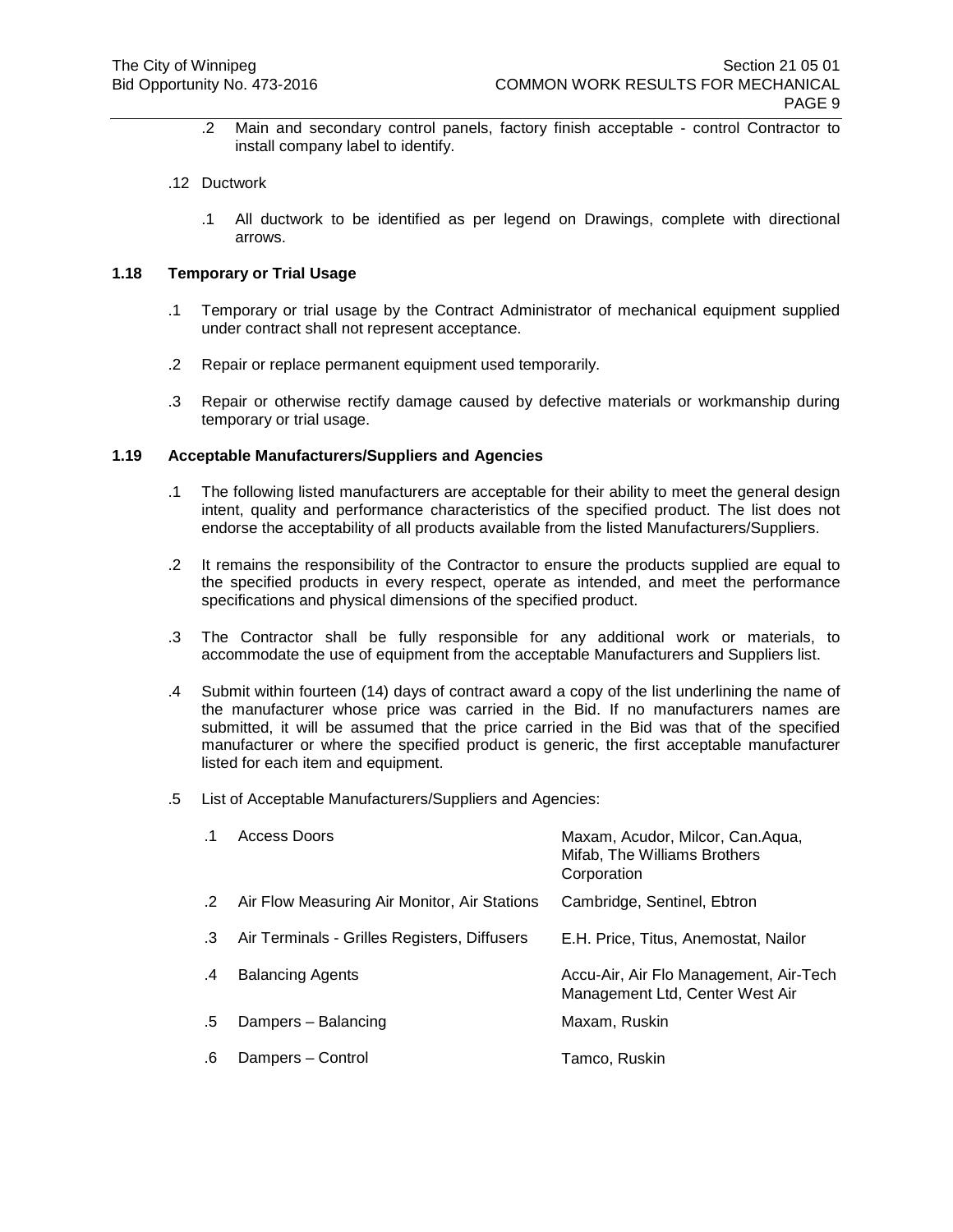.2 Main and secondary control panels, factory finish acceptable - control Contractor to install company label to identify.

## .12 Ductwork

.1 All ductwork to be identified as per legend on Drawings, complete with directional arrows.

# **1.18 Temporary or Trial Usage**

- .1 Temporary or trial usage by the Contract Administrator of mechanical equipment supplied under contract shall not represent acceptance.
- .2 Repair or replace permanent equipment used temporarily.
- .3 Repair or otherwise rectify damage caused by defective materials or workmanship during temporary or trial usage.

## **1.19 Acceptable Manufacturers/Suppliers and Agencies**

- .1 The following listed manufacturers are acceptable for their ability to meet the general design intent, quality and performance characteristics of the specified product. The list does not endorse the acceptability of all products available from the listed Manufacturers/Suppliers.
- .2 It remains the responsibility of the Contractor to ensure the products supplied are equal to the specified products in every respect, operate as intended, and meet the performance specifications and physical dimensions of the specified product.
- .3 The Contractor shall be fully responsible for any additional work or materials, to accommodate the use of equipment from the acceptable Manufacturers and Suppliers list.
- .4 Submit within fourteen (14) days of contract award a copy of the list underlining the name of the manufacturer whose price was carried in the Bid. If no manufacturers names are submitted, it will be assumed that the price carried in the Bid was that of the specified manufacturer or where the specified product is generic, the first acceptable manufacturer listed for each item and equipment.
- .5 List of Acceptable Manufacturers/Suppliers and Agencies:

|    | Access Doors                                 | Maxam, Acudor, Milcor, Can.Aqua,<br>Mifab, The Williams Brothers<br>Corporation |
|----|----------------------------------------------|---------------------------------------------------------------------------------|
| .2 | Air Flow Measuring Air Monitor, Air Stations | Cambridge, Sentinel, Ebtron                                                     |
| .3 | Air Terminals - Grilles Registers, Diffusers | E.H. Price, Titus, Anemostat, Nailor                                            |
| .4 | <b>Balancing Agents</b>                      | Accu-Air, Air Flo Management, Air-Tech<br>Management Ltd, Center West Air       |
| .5 | Dampers - Balancing                          | Maxam, Ruskin                                                                   |
| .6 | Dampers - Control                            | Tamco, Ruskin                                                                   |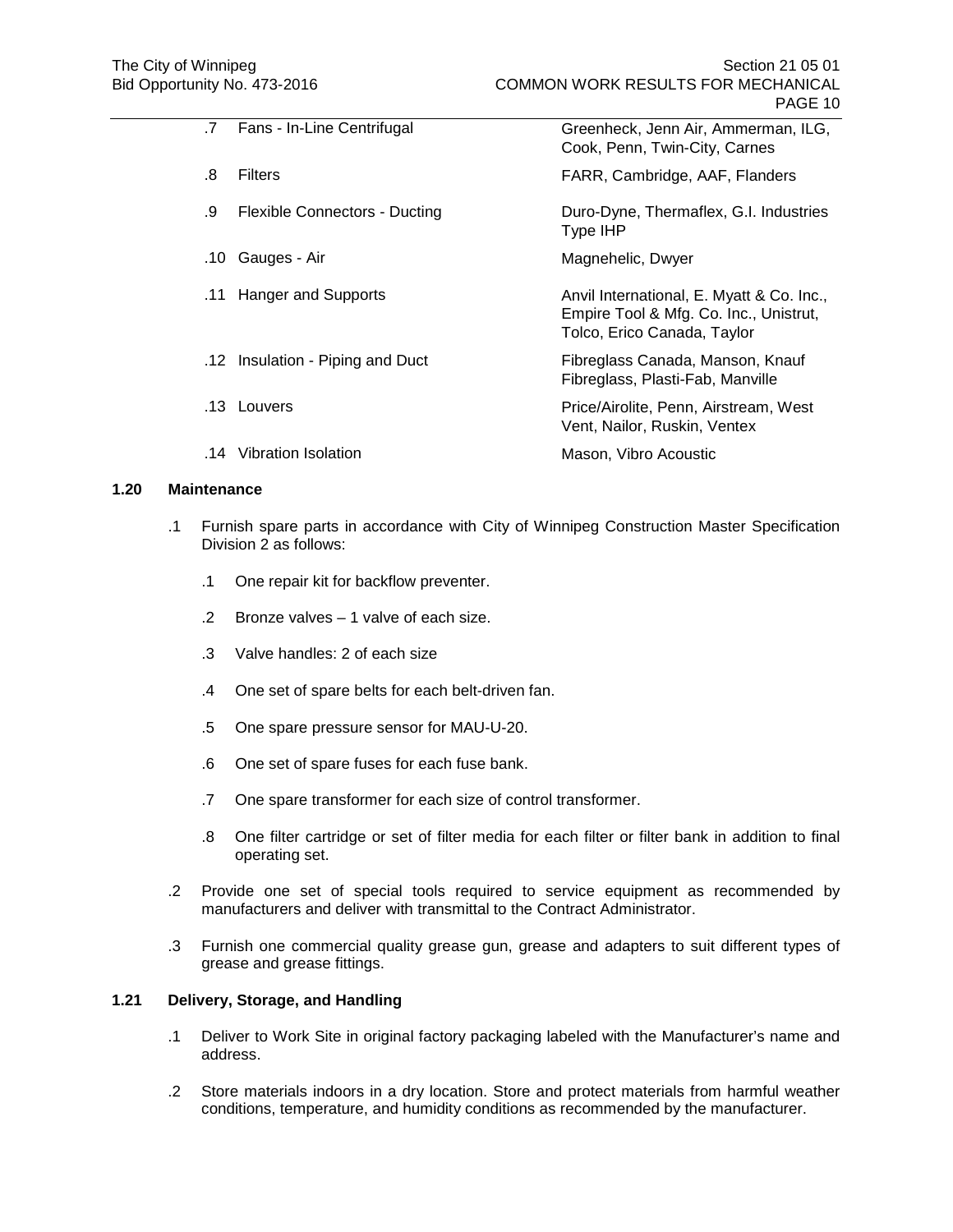| $\cdot$ 7 | Fans - In-Line Centrifugal           | Greenheck, Jenn Air, Ammerman, ILG,<br>Cook, Penn, Twin-City, Carnes                                               |
|-----------|--------------------------------------|--------------------------------------------------------------------------------------------------------------------|
| .8        | <b>Filters</b>                       | FARR, Cambridge, AAF, Flanders                                                                                     |
| .9        | <b>Flexible Connectors - Ducting</b> | Duro-Dyne, Thermaflex, G.I. Industries<br>Type IHP                                                                 |
| .10       | Gauges - Air                         | Magnehelic, Dwyer                                                                                                  |
| .11       | <b>Hanger and Supports</b>           | Anvil International, E. Myatt & Co. Inc.,<br>Empire Tool & Mfg. Co. Inc., Unistrut,<br>Tolco, Erico Canada, Taylor |
|           | .12 Insulation - Piping and Duct     | Fibreglass Canada, Manson, Knauf<br>Fibreglass, Plasti-Fab, Manville                                               |
|           | .13 Louvers                          | Price/Airolite, Penn, Airstream, West<br>Vent, Nailor, Ruskin, Ventex                                              |
| 14        | Vibration Isolation                  | Mason, Vibro Acoustic                                                                                              |

### **1.20 Maintenance**

- .1 Furnish spare parts in accordance with City of Winnipeg Construction Master Specification Division 2 as follows:
	- .1 One repair kit for backflow preventer.
	- .2 Bronze valves 1 valve of each size.
	- .3 Valve handles: 2 of each size
	- .4 One set of spare belts for each belt-driven fan.
	- .5 One spare pressure sensor for MAU-U-20.
	- .6 One set of spare fuses for each fuse bank.
	- .7 One spare transformer for each size of control transformer.
	- .8 One filter cartridge or set of filter media for each filter or filter bank in addition to final operating set.
- .2 Provide one set of special tools required to service equipment as recommended by manufacturers and deliver with transmittal to the Contract Administrator.
- .3 Furnish one commercial quality grease gun, grease and adapters to suit different types of grease and grease fittings.

# **1.21 Delivery, Storage, and Handling**

- .1 Deliver to Work Site in original factory packaging labeled with the Manufacturer's name and address.
- .2 Store materials indoors in a dry location. Store and protect materials from harmful weather conditions, temperature, and humidity conditions as recommended by the manufacturer.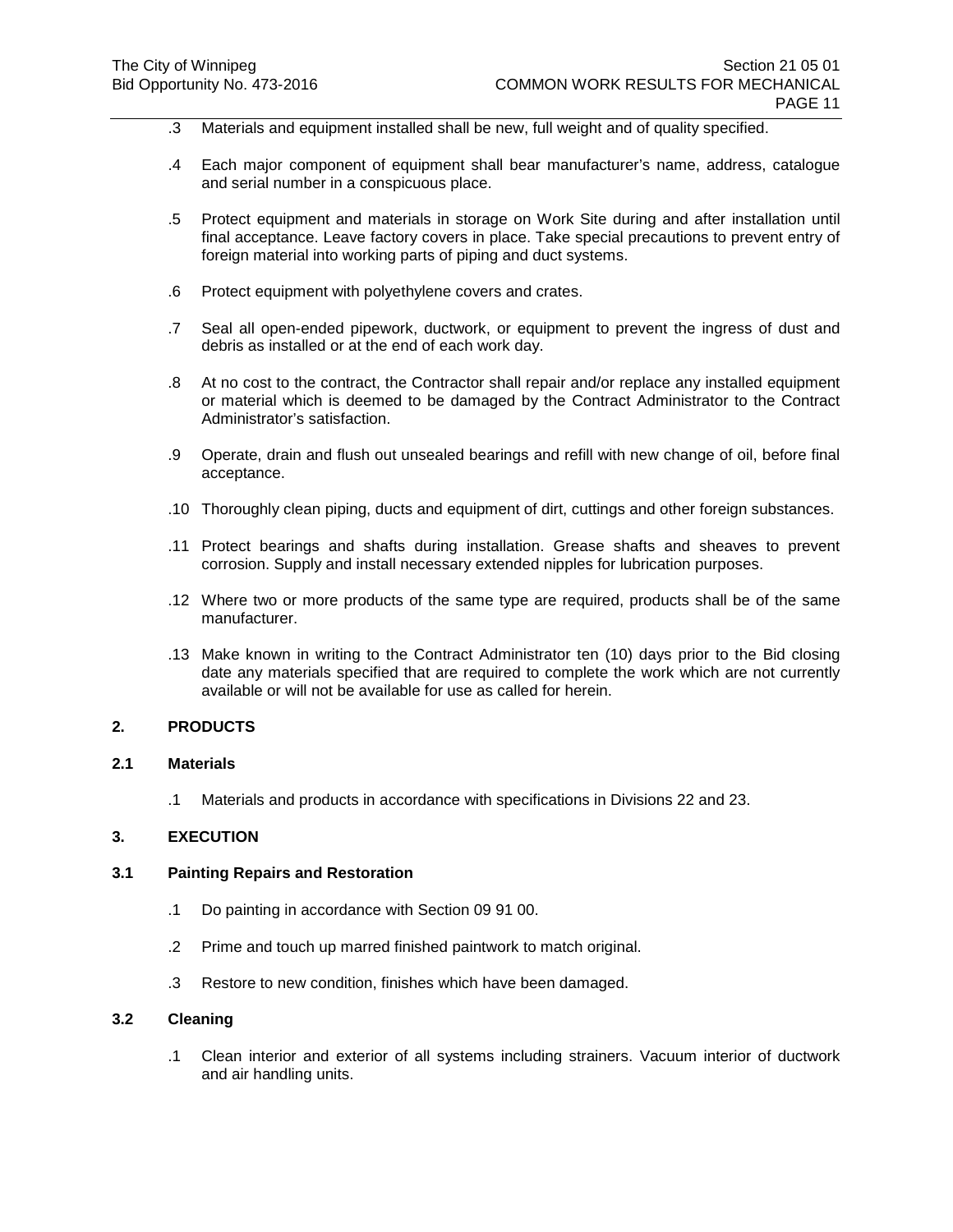- .3 Materials and equipment installed shall be new, full weight and of quality specified.
- .4 Each major component of equipment shall bear manufacturer's name, address, catalogue and serial number in a conspicuous place.
- .5 Protect equipment and materials in storage on Work Site during and after installation until final acceptance. Leave factory covers in place. Take special precautions to prevent entry of foreign material into working parts of piping and duct systems.
- .6 Protect equipment with polyethylene covers and crates.
- .7 Seal all open-ended pipework, ductwork, or equipment to prevent the ingress of dust and debris as installed or at the end of each work day.
- .8 At no cost to the contract, the Contractor shall repair and/or replace any installed equipment or material which is deemed to be damaged by the Contract Administrator to the Contract Administrator's satisfaction.
- .9 Operate, drain and flush out unsealed bearings and refill with new change of oil, before final acceptance.
- .10 Thoroughly clean piping, ducts and equipment of dirt, cuttings and other foreign substances.
- .11 Protect bearings and shafts during installation. Grease shafts and sheaves to prevent corrosion. Supply and install necessary extended nipples for lubrication purposes.
- .12 Where two or more products of the same type are required, products shall be of the same manufacturer.
- .13 Make known in writing to the Contract Administrator ten (10) days prior to the Bid closing date any materials specified that are required to complete the work which are not currently available or will not be available for use as called for herein.

## **2. PRODUCTS**

### **2.1 Materials**

.1 Materials and products in accordance with specifications in Divisions 22 and 23.

### **3. EXECUTION**

### **3.1 Painting Repairs and Restoration**

- .1 Do painting in accordance with Section 09 91 00.
- .2 Prime and touch up marred finished paintwork to match original.
- .3 Restore to new condition, finishes which have been damaged.

### **3.2 Cleaning**

.1 Clean interior and exterior of all systems including strainers. Vacuum interior of ductwork and air handling units.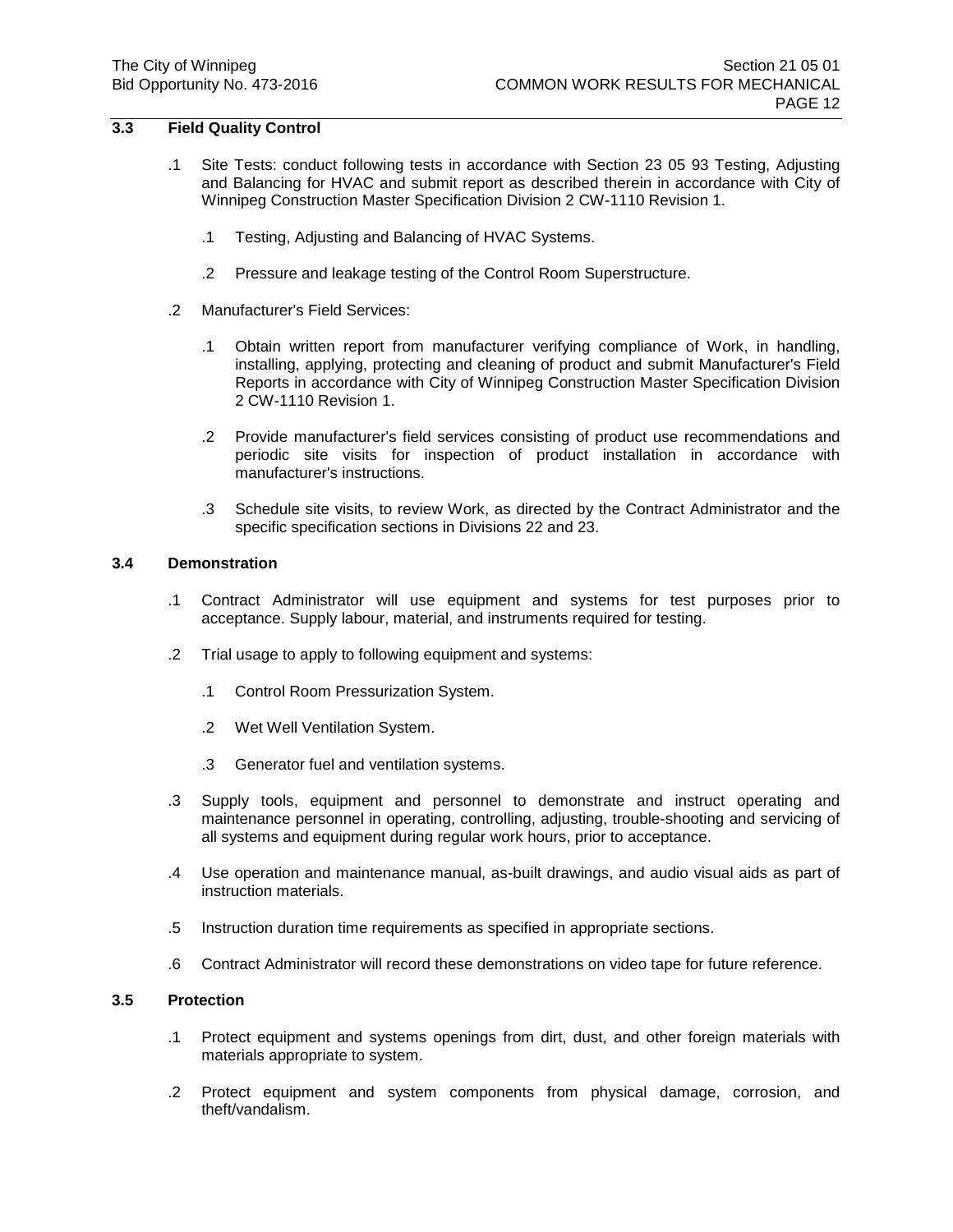# **3.3 Field Quality Control**

- .1 Site Tests: conduct following tests in accordance with Section 23 05 93 Testing, Adjusting and Balancing for HVAC and submit report as described therein in accordance with City of Winnipeg Construction Master Specification Division 2 CW-1110 Revision 1.
	- .1 Testing, Adjusting and Balancing of HVAC Systems.
	- .2 Pressure and leakage testing of the Control Room Superstructure.
- .2 Manufacturer's Field Services:
	- .1 Obtain written report from manufacturer verifying compliance of Work, in handling, installing, applying, protecting and cleaning of product and submit Manufacturer's Field Reports in accordance with City of Winnipeg Construction Master Specification Division 2 CW-1110 Revision 1.
	- .2 Provide manufacturer's field services consisting of product use recommendations and periodic site visits for inspection of product installation in accordance with manufacturer's instructions.
	- .3 Schedule site visits, to review Work, as directed by the Contract Administrator and the specific specification sections in Divisions 22 and 23.

## **3.4 Demonstration**

- .1 Contract Administrator will use equipment and systems for test purposes prior to acceptance. Supply labour, material, and instruments required for testing.
- .2 Trial usage to apply to following equipment and systems:
	- .1 Control Room Pressurization System.
	- .2 Wet Well Ventilation System.
	- .3 Generator fuel and ventilation systems.
- .3 Supply tools, equipment and personnel to demonstrate and instruct operating and maintenance personnel in operating, controlling, adjusting, trouble-shooting and servicing of all systems and equipment during regular work hours, prior to acceptance.
- .4 Use operation and maintenance manual, as-built drawings, and audio visual aids as part of instruction materials.
- .5 Instruction duration time requirements as specified in appropriate sections.
- .6 Contract Administrator will record these demonstrations on video tape for future reference.

## **3.5 Protection**

- .1 Protect equipment and systems openings from dirt, dust, and other foreign materials with materials appropriate to system.
- .2 Protect equipment and system components from physical damage, corrosion, and theft/vandalism.